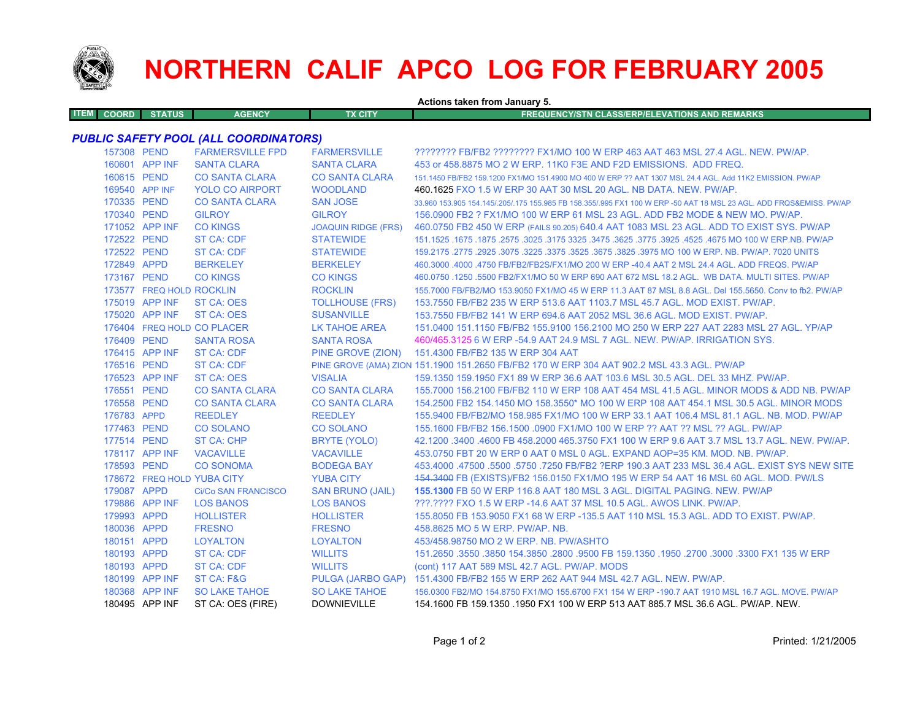

T

## **NORTHERN CALIF APCO LOG FOR FEBRUARY 2005**

| Actions taken from January 5. |              |                          |                                       |                            |                                                                                                                     |  |
|-------------------------------|--------------|--------------------------|---------------------------------------|----------------------------|---------------------------------------------------------------------------------------------------------------------|--|
| <b>ITEM</b>                   | <b>COORD</b> | <b>STATUS</b>            | <b>AGENCY</b>                         | <b>TX CITY</b>             | <b>FREQUENCY/STN CLASS/ERP/ELEVATIONS AND REMARKS</b>                                                               |  |
|                               |              |                          |                                       |                            |                                                                                                                     |  |
|                               |              |                          | PUBLIC SAFETY POOL (ALL COORDINATORS) |                            |                                                                                                                     |  |
|                               | 157308 PEND  |                          | <b>FARMERSVILLE FPD</b>               | <b>FARMERSVILLE</b>        | ???????? FB/FB2 ???????? FX1/MO 100 W ERP 463 AAT 463 MSL 27.4 AGL. NEW. PW/AP.                                     |  |
|                               |              | 160601 APP INF           | <b>SANTA CLARA</b>                    | <b>SANTA CLARA</b>         | 453 or 458,8875 MO 2 W ERP, 11K0 F3E AND F2D EMISSIONS. ADD FREQ.                                                   |  |
|                               | 160615 PEND  |                          | <b>CO SANTA CLARA</b>                 | <b>CO SANTA CLARA</b>      | 151.1450 FB/FB2 159.1200 FX1/MO 151.4900 MO 400 W ERP ?? AAT 1307 MSL 24.4 AGL, Add 11K2 EMISSION, PW/AP            |  |
|                               |              | 169540 APP INF           | <b>YOLO CO AIRPORT</b>                | <b>WOODLAND</b>            | 460.1625 FXO 1.5 W ERP 30 AAT 30 MSL 20 AGL. NB DATA. NEW. PW/AP.                                                   |  |
|                               | 170335 PEND  |                          | <b>CO SANTA CLARA</b>                 | <b>SAN JOSE</b>            | 33,960 153,905 154,145/,205/,175 155,985 FB 158,355/,995 FX1 100 W ERP -50 AAT 18 MSL 23 AGL, ADD FRQS&EMISS, PW/AP |  |
|                               | 170340 PEND  |                          | <b>GILROY</b>                         | <b>GILROY</b>              | 156.0900 FB2 ? FX1/MO 100 W ERP 61 MSL 23 AGL. ADD FB2 MODE & NEW MO. PW/AP.                                        |  |
|                               |              | 171052 APP INF           | <b>CO KINGS</b>                       | <b>JOAQUIN RIDGE (FRS)</b> | 460.0750 FB2 450 W ERP (FAILS 90.205) 640.4 AAT 1083 MSL 23 AGL. ADD TO EXIST SYS. PW/AP                            |  |
|                               | 172522 PEND  |                          | <b>ST CA: CDF</b>                     | <b>STATEWIDE</b>           | 151.1525 .1675 .1875 .2575 .3025 .3175 3325 .3475 .3625 .3775 .3925 .3775 .3925 .1675 .1675 .1875 .2577 .1525       |  |
|                               | 172522 PEND  |                          | ST CA: CDF                            | <b>STATEWIDE</b>           | 159.2175 .2775 .2925 .3075 .3225 .3575 .3525 .3675 .3825 .3975 MO 100 W ERP. NB. PW/AP. 7020 UNITS                  |  |
|                               | 172849 APPD  |                          | <b>BERKELEY</b>                       | <b>BERKELEY</b>            | 460.3000 .4000 .4750 FB/FB2/FB2S/FX1/MO 200 W ERP -40.4 AAT 2 MSL 24.4 AGL. ADD FREQS. PW/AP                        |  |
|                               | 173167 PEND  |                          | <b>CO KINGS</b>                       | <b>CO KINGS</b>            | 460.0750 .1250 .5500 FB2/FX1/MO 50 W ERP 690 AAT 672 MSL 18.2 AGL. WB DATA, MULTI SITES, PW/AP                      |  |
|                               |              | 173577 FREQ HOLD ROCKLIN |                                       | <b>ROCKLIN</b>             | 155.7000 FB/FB2/MO 153.9050 FX1/MO 45 W ERP 11.3 AAT 87 MSL 8.8 AGL. Del 155.5650. Conv to fb2. PW/AP               |  |
|                               |              | 175019 APP INF           | <b>ST CA: OES</b>                     | <b>TOLLHOUSE (FRS)</b>     | 153.7550 FB/FB2 235 W ERP 513.6 AAT 1103.7 MSL 45.7 AGL, MOD EXIST, PW/AP.                                          |  |
|                               |              | 175020 APP INF           | <b>ST CA: OES</b>                     | <b>SUSANVILLE</b>          | 153.7550 FB/FB2 141 W ERP 694.6 AAT 2052 MSL 36.6 AGL, MOD EXIST, PW/AP.                                            |  |
|                               |              |                          | 176404 FREQ HOLD CO PLACER            | <b>LK TAHOE AREA</b>       | 151,0400 151,1150 FB/FB2 155,9100 156,2100 MO 250 W ERP 227 AAT 2283 MSL 27 AGL, YP/AP                              |  |
|                               | 176409 PEND  |                          | <b>SANTA ROSA</b>                     | <b>SANTA ROSA</b>          | 460/465.3125 6 W ERP -54.9 AAT 24.9 MSL 7 AGL. NEW. PW/AP. IRRIGATION SYS.                                          |  |
|                               |              | 176415 APP INF           | <b>ST CA: CDF</b>                     | PINE GROVE (ZION)          | 151.4300 FB/FB2 135 W ERP 304 AAT                                                                                   |  |
|                               | 176516 PEND  |                          | <b>ST CA: CDF</b>                     |                            | PINE GROVE (AMA) ZION 151.1900 151.2650 FB/FB2 170 W ERP 304 AAT 902.2 MSL 43.3 AGL. PW/AP                          |  |
|                               |              | 176523 APP INF           | ST CA: OES                            | <b>VISALIA</b>             | 159.1350 159.1950 FX1 89 W ERP 36.6 AAT 103.6 MSL 30.5 AGL. DEL 33 MHZ. PW/AP.                                      |  |
|                               | 176551 PEND  |                          | <b>CO SANTA CLARA</b>                 | <b>CO SANTA CLARA</b>      | 155,7000 156,2100 FB/FB2 110 W ERP 108 AAT 454 MSL 41.5 AGL, MINOR MODS & ADD NB, PW/AP                             |  |
|                               | 176558 PEND  |                          | <b>CO SANTA CLARA</b>                 | <b>CO SANTA CLARA</b>      | 154,2500 FB2 154,1450 MO 158,3550* MO 100 W ERP 108 AAT 454,1 MSL 30.5 AGL, MINOR MODS                              |  |
|                               | 176783 APPD  |                          | <b>REEDLEY</b>                        | <b>REEDLEY</b>             | 155.9400 FB/FB2/MO 158.985 FX1/MO 100 W ERP 33.1 AAT 106.4 MSL 81.1 AGL. NB. MOD. PW/AP                             |  |
|                               | 177463 PEND  |                          | <b>CO SOLANO</b>                      | <b>CO SOLANO</b>           | 155.1600 FB/FB2 156.1500 .0900 FX1/MO 100 W ERP ?? AAT ?? MSL ?? AGL. PW/AP                                         |  |
|                               | 177514 PEND  |                          | ST CA: CHP                            | <b>BRYTE (YOLO)</b>        | 42.1200 .3400 .4600 FB 458.2000 465.3750 FX1 100 W ERP 9.6 AAT 3.7 MSL 13.7 AGL. NEW. PW/AP.                        |  |
|                               |              | 178117 APP INF           | <b>VACAVILLE</b>                      | <b>VACAVILLE</b>           | 453.0750 FBT 20 W ERP 0 AAT 0 MSL 0 AGL. EXPAND AOP=35 KM, MOD, NB, PW/AP,                                          |  |
|                               | 178593 PEND  |                          | <b>CO SONOMA</b>                      | <b>BODEGA BAY</b>          | 453.4000 .47500 .5750 .7250 FB/FB2 ?ERP 190.3 AAT 233 MSL 36.4 AGL. EXIST SYS NEW SITE                              |  |
|                               |              |                          | 178672 FREQ HOLD YUBA CITY            | <b>YUBA CITY</b>           | 154,3400 FB (EXISTS)/FB2 156,0150 FX1/MO 195 W ERP 54 AAT 16 MSL 60 AGL, MOD, PW/LS                                 |  |
|                               | 179087 APPD  |                          | <b>Ci/Co SAN FRANCISCO</b>            | <b>SAN BRUNO (JAIL)</b>    | 155.1300 FB 50 W ERP 116.8 AAT 180 MSL 3 AGL, DIGITAL PAGING, NEW, PW/AP                                            |  |
|                               |              | 179886 APP INF           | <b>LOS BANOS</b>                      | <b>LOS BANOS</b>           | 222.2222 FXO 1.5 W ERP -14.6 AAT 37 MSL 10.5 AGL. AWOS LINK, PW/AP.                                                 |  |
|                               | 179993 APPD  |                          | <b>HOLLISTER</b>                      | <b>HOLLISTER</b>           | 155,8050 FB 153,9050 FX1 68 W ERP -135,5 AAT 110 MSL 15.3 AGL, ADD TO EXIST, PW/AP,                                 |  |
|                               | 180036 APPD  |                          | <b>FRESNO</b>                         | <b>FRESNO</b>              | 458.8625 MO 5 W ERP. PW/AP. NB.                                                                                     |  |
|                               | 180151 APPD  |                          | <b>LOYALTON</b>                       | <b>LOYALTON</b>            | 453/458.98750 MO 2 W ERP. NB. PW/ASHTO                                                                              |  |
|                               | 180193 APPD  |                          | <b>ST CA: CDF</b>                     | <b>WILLITS</b>             | 151.2650 .3550 .3850 154.3850 .2800 .9500 FB 159.1350 .1950 .2700 .3000 .3300 FX1 135 W ERP                         |  |
|                               | 180193 APPD  |                          | <b>ST CA: CDF</b>                     | <b>WILLITS</b>             | (cont) 117 AAT 589 MSL 42.7 AGL. PW/AP. MODS                                                                        |  |
|                               |              | 180199 APP INF           | ST CA: F&G                            |                            | PULGA (JARBO GAP) 151.4300 FB/FB2 155 W ERP 262 AAT 944 MSL 42.7 AGL. NEW. PW/AP.                                   |  |
|                               |              | 180368 APP INF           | <b>SO LAKE TAHOE</b>                  | <b>SO LAKE TAHOE</b>       | 156,0300 FB2/MO 154,8750 FX1/MO 155,6700 FX1 154 W ERP -190,7 AAT 1910 MSL 16.7 AGL, MOVE, PW/AP                    |  |
|                               |              | 180495 APP INF           | ST CA: OES (FIRE)                     | <b>DOWNIEVILLE</b>         | 154.1600 FB 159.1350 .1950 FX1 100 W ERP 513 AAT 885.7 MSL 36.6 AGL. PW/AP. NEW.                                    |  |